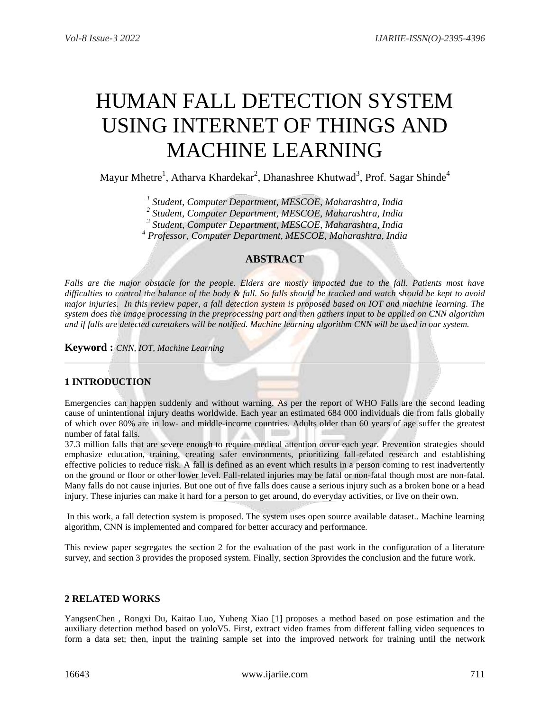# HUMAN FALL DETECTION SYSTEM USING INTERNET OF THINGS AND MACHINE LEARNING

Mayur Mhetre<sup>1</sup>, Atharva Khardekar<sup>2</sup>, Dhanashree Khutwad<sup>3</sup>, Prof. Sagar Shinde<sup>4</sup>

 *Student, Computer Department, MESCOE, Maharashtra, India Student, Computer Department, MESCOE, Maharashtra, India Student, Computer Department, MESCOE, Maharashtra, India Professor, Computer Department, MESCOE, Maharashtra, India*

# **ABSTRACT**

*Falls are the major obstacle for the people. Elders are mostly impacted due to the fall. Patients most have difficulties to control the balance of the body & fall. So falls should be tracked and watch should be kept to avoid major injuries. In this review paper, a fall detection system is proposed based on IOT and machine learning. The system does the image processing in the preprocessing part and then gathers input to be applied on CNN algorithm and if falls are detected caretakers will be notified. Machine learning algorithm CNN will be used in our system.*

**Keyword :** *CNN, IOT, Machine Learning*

# **1 INTRODUCTION**

Emergencies can happen suddenly and without warning. As per the report of WHO Falls are the second leading cause of unintentional injury deaths worldwide. Each year an estimated 684 000 individuals die from falls globally of which over 80% are in low- and middle-income countries. Adults older than 60 years of age suffer the greatest number of fatal falls.

37.3 million falls that are severe enough to require medical attention occur each year. Prevention strategies should emphasize education, training, creating safer environments, prioritizing fall-related research and establishing effective policies to reduce risk. A fall is defined as an event which results in a person coming to rest inadvertently on the ground or floor or other lower level. Fall-related injuries may be fatal or non-fatal though most are non-fatal. Many falls do not cause injuries. But one out of five falls does cause a serious injury such as a broken bone or a head injury. These injuries can make it hard for a person to get around, do everyday activities, or live on their own.

In this work, a fall detection system is proposed. The system uses open source available dataset.. Machine learning algorithm, CNN is implemented and compared for better accuracy and performance.

This review paper segregates the section 2 for the evaluation of the past work in the configuration of a literature survey, and section 3 provides the proposed system. Finally, section 3provides the conclusion and the future work.

# **2 RELATED WORKS**

YangsenChen , Rongxi Du, Kaitao Luo, Yuheng Xiao [1] proposes a method based on pose estimation and the auxiliary detection method based on yoloV5. First, extract video frames from different falling video sequences to form a data set; then, input the training sample set into the improved network for training until the network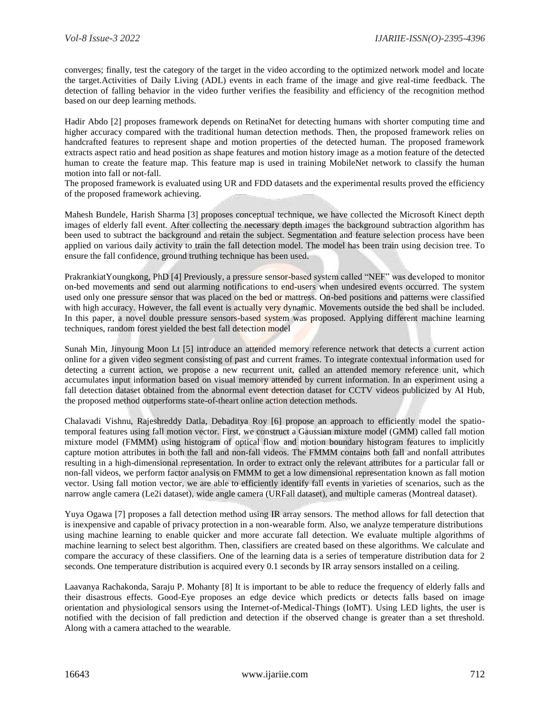converges; finally, test the category of the target in the video according to the optimized network model and locate the target.Activities of Daily Living (ADL) events in each frame of the image and give real-time feedback. The detection of falling behavior in the video further verifies the feasibility and efficiency of the recognition method based on our deep learning methods.

Hadir Abdo [2] proposes framework depends on RetinaNet for detecting humans with shorter computing time and higher accuracy compared with the traditional human detection methods. Then, the proposed framework relies on handcrafted features to represent shape and motion properties of the detected human. The proposed framework extracts aspect ratio and head position as shape features and motion history image as a motion feature of the detected human to create the feature map. This feature map is used in training MobileNet network to classify the human motion into fall or not-fall.

The proposed framework is evaluated using UR and FDD datasets and the experimental results proved the efficiency of the proposed framework achieving.

Mahesh Bundele, Harish Sharma [3] proposes conceptual technique, we have collected the Microsoft Kinect depth images of elderly fall event. After collecting the necessary depth images the background subtraction algorithm has been used to subtract the background and retain the subject. Segmentation and feature selection process have been applied on various daily activity to train the fall detection model. The model has been train using decision tree. To ensure the fall confidence, ground truthing technique has been used.

PrakrankiatYoungkong, PhD [4] Previously, a pressure sensor-based system called "NEF" was developed to monitor on-bed movements and send out alarming notifications to end-users when undesired events occurred. The system used only one pressure sensor that was placed on the bed or mattress. On-bed positions and patterns were classified with high accuracy. However, the fall event is actually very dynamic. Movements outside the bed shall be included. In this paper, a novel double pressure sensors-based system was proposed. Applying different machine learning techniques, random forest yielded the best fall detection model

Sunah Min, Jinyoung Moon Lt [5] introduce an attended memory reference network that detects a current action online for a given video segment consisting of past and current frames. To integrate contextual information used for detecting a current action, we propose a new recurrent unit, called an attended memory reference unit, which accumulates input information based on visual memory attended by current information. In an experiment using a fall detection dataset obtained from the abnormal event detection dataset for CCTV videos publicized by AI Hub, the proposed method outperforms state-of-theart online action detection methods.

Chalavadi Vishnu, Rajeshreddy Datla, Debaditya Roy [6] propose an approach to efficiently model the spatiotemporal features using fall motion vector. First, we construct a Gaussian mixture model (GMM) called fall motion mixture model (FMMM) using histogram of optical flow and motion boundary histogram features to implicitly capture motion attributes in both the fall and non-fall videos. The FMMM contains both fall and nonfall attributes resulting in a high-dimensional representation. In order to extract only the relevant attributes for a particular fall or non-fall videos, we perform factor analysis on FMMM to get a low dimensional representation known as fall motion vector. Using fall motion vector, we are able to efficiently identify fall events in varieties of scenarios, such as the narrow angle camera (Le2i dataset), wide angle camera (URFall dataset), and multiple cameras (Montreal dataset).

Yuya Ogawa [7] proposes a fall detection method using IR array sensors. The method allows for fall detection that is inexpensive and capable of privacy protection in a non-wearable form. Also, we analyze temperature distributions using machine learning to enable quicker and more accurate fall detection. We evaluate multiple algorithms of machine learning to select best algorithm. Then, classifiers are created based on these algorithms. We calculate and compare the accuracy of these classifiers. One of the learning data is a series of temperature distribution data for 2 seconds. One temperature distribution is acquired every 0.1 seconds by IR array sensors installed on a ceiling.

Laavanya Rachakonda, Saraju P. Mohanty [8] It is important to be able to reduce the frequency of elderly falls and their disastrous effects. Good-Eye proposes an edge device which predicts or detects falls based on image orientation and physiological sensors using the Internet-of-Medical-Things (IoMT). Using LED lights, the user is notified with the decision of fall prediction and detection if the observed change is greater than a set threshold. Along with a camera attached to the wearable.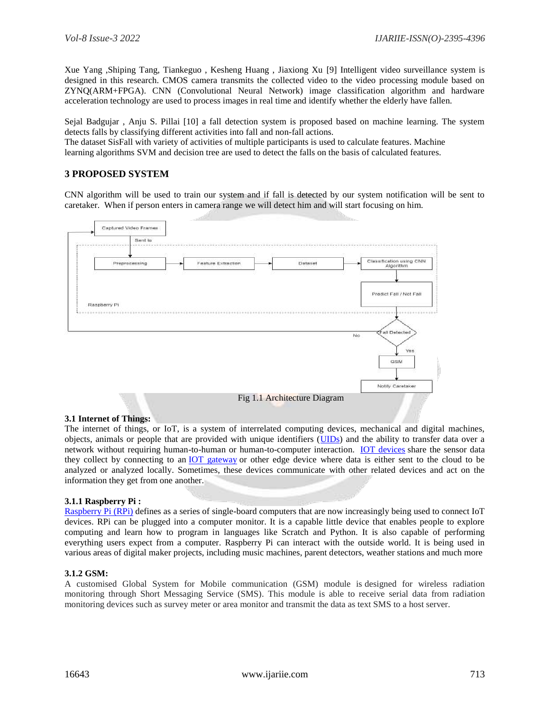Xue Yang ,Shiping Tang, Tiankeguo , Kesheng Huang , Jiaxiong Xu [9] Intelligent video surveillance system is designed in this research. CMOS camera transmits the collected video to the video processing module based on ZYNQ(ARM+FPGA). CNN (Convolutional Neural Network) image classification algorithm and hardware acceleration technology are used to process images in real time and identify whether the elderly have fallen.

Sejal Badgujar , Anju S. Pillai [10] a fall detection system is proposed based on machine learning. The system detects falls by classifying different activities into fall and non-fall actions. The dataset SisFall with variety of activities of multiple participants is used to calculate features. Machine

learning algorithms SVM and decision tree are used to detect the falls on the basis of calculated features.

# **3 PROPOSED SYSTEM**

CNN algorithm will be used to train our system and if fall is detected by our system notification will be sent to caretaker. When if person enters in camera range we will detect him and will start focusing on him.



# **3.1 Internet of Things:**

The internet of things, or IoT, is a system of interrelated computing devices, mechanical and digital machines, objects, animals or people that are provided with unique identifiers [\(UIDs\)](https://internetofthingsagenda.techtarget.com/definition/unique-identifier-UID) and the ability to transfer data over a network without requiring human-to-human or human-to-computer interaction. [IOT devices](https://internetofthingsagenda.techtarget.com/definition/IoT-device) share the sensor data they collect by connecting to an [IOT gateway](https://whatis.techtarget.com/definition/IoT-gateway) or other edge device where data is either sent to the cloud to be analyzed or analyzed locally. Sometimes, these devices communicate with other related devices and act on the information they get from one another.

## **3.1.1 Raspberry Pi :**

[Raspberry](https://www.analyticsinsight.net/unlocking-enterprise-potential-behind-iot-strategy/) Pi (RPi) defines as a series of single-board computers that are now increasingly being used to connect IoT devices. RPi can be plugged into a computer monitor. It is a capable little device that enables people to explore computing and learn how to program in languages like Scratch and Python. It is also capable of performing everything users expect from a computer. Raspberry Pi can interact with the outside world. It is being used in various areas of digital maker projects, including music machines, parent detectors, weather stations and much more

# **3.1.2 GSM:**

A customised Global System for Mobile communication (GSM) module is designed for wireless radiation monitoring through Short Messaging Service (SMS). This module is able to receive serial data from radiation monitoring devices such as survey meter or area monitor and transmit the data as text SMS to a host server.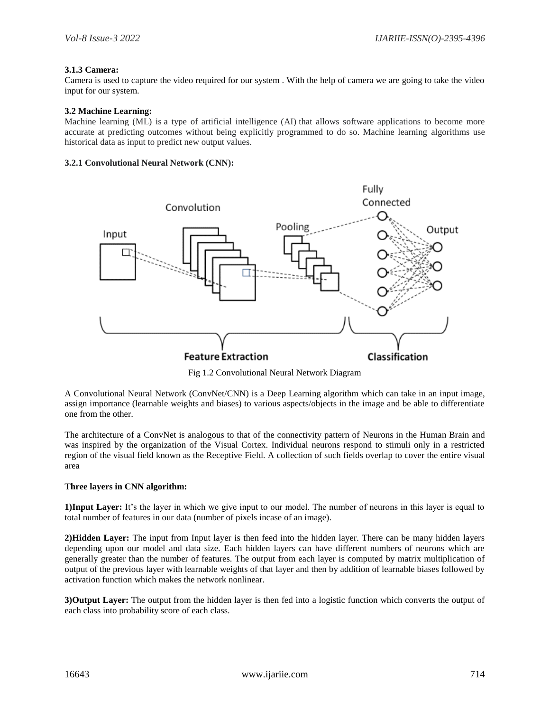## **3.1.3 Camera:**

Camera is used to capture the video required for our system . With the help of camera we are going to take the video input for our system.

## **3.2 Machine Learning:**

Machine learning (ML) is a type of artificial intelligence (AI) that allows software applications to become more accurate at predicting outcomes without being explicitly programmed to do so. Machine learning algorithms use historical data as input to predict new output values.

#### **3.2.1 Convolutional Neural Network (CNN):**



Fig 1.2 Convolutional Neural Network Diagram

A Convolutional Neural Network (ConvNet/CNN) is a Deep Learning algorithm which can take in an input image, assign importance (learnable weights and biases) to various aspects/objects in the image and be able to differentiate one from the other.

The architecture of a ConvNet is analogous to that of the connectivity pattern of Neurons in the Human Brain and was inspired by the organization of the Visual Cortex. Individual neurons respond to stimuli only in a restricted region of the visual field known as the Receptive Field. A collection of such fields overlap to cover the entire visual area

## **Three layers in CNN algorithm:**

**1)Input Layer:** It's the layer in which we give input to our model. The number of neurons in this layer is equal to total number of features in our data (number of pixels incase of an image).

**2)Hidden Layer:** The input from Input layer is then feed into the hidden layer. There can be many hidden layers depending upon our model and data size. Each hidden layers can have different numbers of neurons which are generally greater than the number of features. The output from each layer is computed by matrix multiplication of output of the previous layer with learnable weights of that layer and then by addition of learnable biases followed by activation function which makes the network nonlinear.

**3)Output Layer:** The output from the hidden layer is then fed into a logistic function which converts the output of each class into probability score of each class.